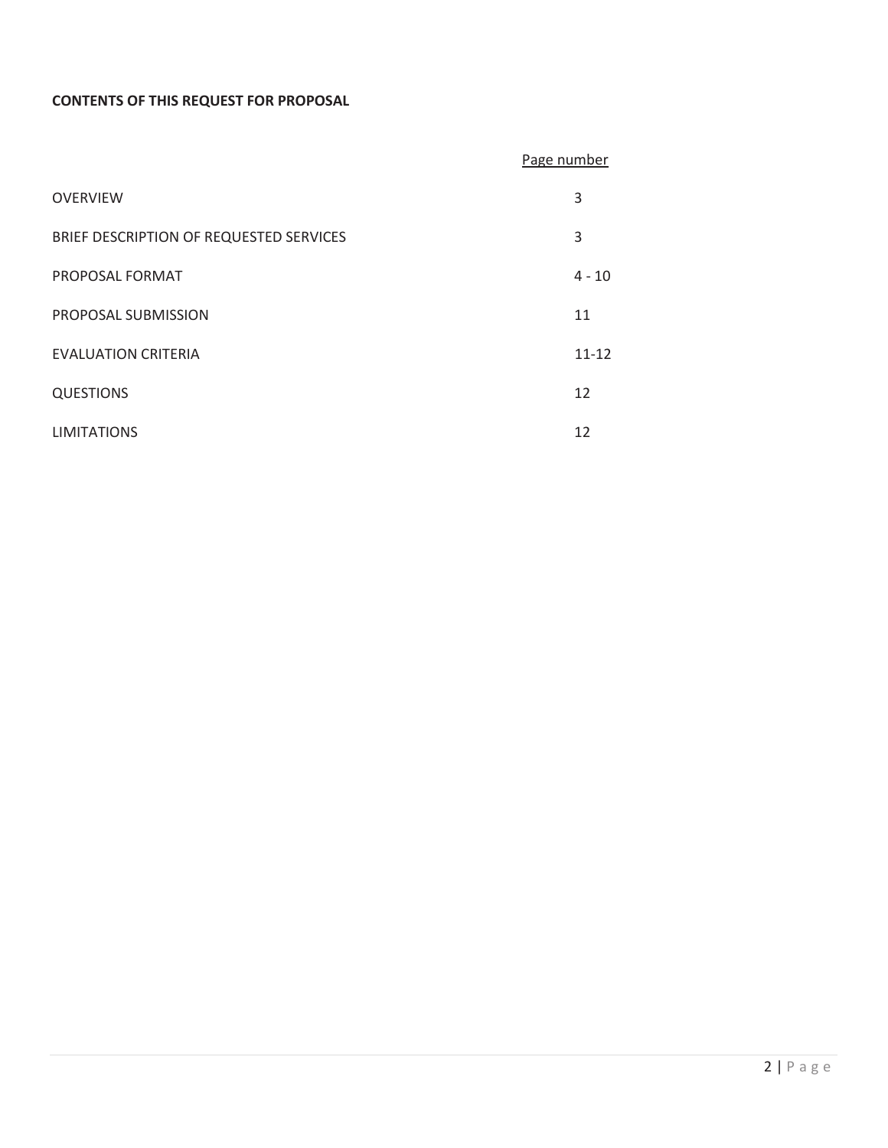# **CONTENTS OF THIS REQUEST FOR PROPOSAL**

|                                         | Page number |
|-----------------------------------------|-------------|
| <b>OVERVIEW</b>                         | 3           |
| BRIEF DESCRIPTION OF REQUESTED SERVICES | 3           |
| PROPOSAL FORMAT                         | $4 - 10$    |
| PROPOSAL SUBMISSION                     | 11          |
| <b>EVALUATION CRITERIA</b>              | $11 - 12$   |
| <b>QUESTIONS</b>                        | 12          |
| <b>LIMITATIONS</b>                      | 12          |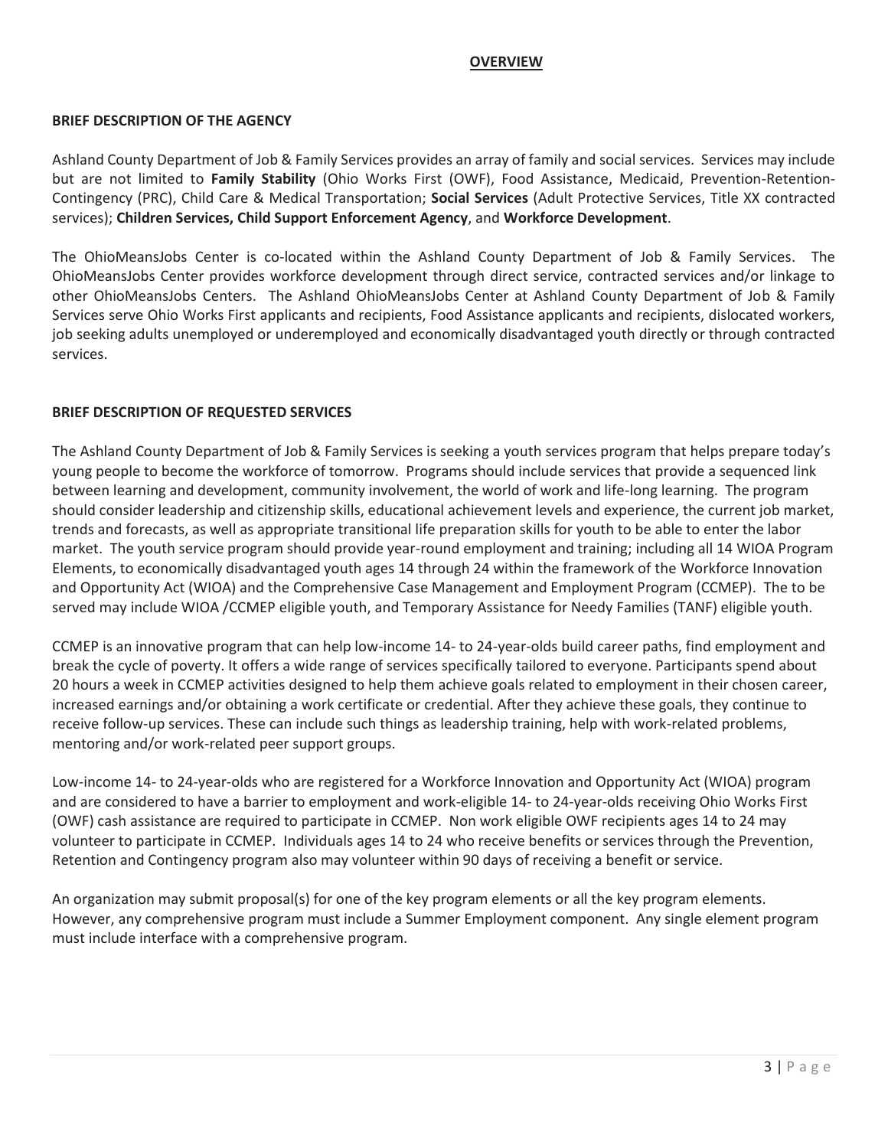## **OVERVIEW**

#### **BRIEF DESCRIPTION OF THE AGENCY**

Ashland County Department of Job & Family Services provides an array of family and social services. Services may include but are not limited to **Family Stability** (Ohio Works First (OWF), Food Assistance, Medicaid, Prevention-Retention-Contingency (PRC), Child Care & Medical Transportation; **Social Services** (Adult Protective Services, Title XX contracted services); **Children Services, Child Support Enforcement Agency**, and **Workforce Development**.

The OhioMeansJobs Center is co-located within the Ashland County Department of Job & Family Services. The OhioMeansJobs Center provides workforce development through direct service, contracted services and/or linkage to other OhioMeansJobs Centers. The Ashland OhioMeansJobs Center at Ashland County Department of Job & Family Services serve Ohio Works First applicants and recipients, Food Assistance applicants and recipients, dislocated workers, job seeking adults unemployed or underemployed and economically disadvantaged youth directly or through contracted services.

#### **BRIEF DESCRIPTION OF REQUESTED SERVICES**

The Ashland County Department of Job & Family Services is seeking a youth services program that helps prepare today's young people to become the workforce of tomorrow. Programs should include services that provide a sequenced link between learning and development, community involvement, the world of work and life-long learning. The program should consider leadership and citizenship skills, educational achievement levels and experience, the current job market, trends and forecasts, as well as appropriate transitional life preparation skills for youth to be able to enter the labor market. The youth service program should provide year-round employment and training; including all 14 WIOA Program Elements, to economically disadvantaged youth ages 14 through 24 within the framework of the Workforce Innovation and Opportunity Act (WIOA) and the Comprehensive Case Management and Employment Program (CCMEP). The to be served may include WIOA /CCMEP eligible youth, and Temporary Assistance for Needy Families (TANF) eligible youth.

CCMEP is an innovative program that can help low-income 14- to 24-year-olds build career paths, find employment and break the cycle of poverty. It offers a wide range of services specifically tailored to everyone. Participants spend about 20 hours a week in CCMEP activities designed to help them achieve goals related to employment in their chosen career, increased earnings and/or obtaining a work certificate or credential. After they achieve these goals, they continue to receive follow-up services. These can include such things as leadership training, help with work-related problems, mentoring and/or work-related peer support groups.

Low-income 14- to 24-year-olds who are registered for a Workforce Innovation and Opportunity Act (WIOA) program and are considered to have a barrier to employment and work-eligible 14- to 24-year-olds receiving Ohio Works First (OWF) cash assistance are required to participate in CCMEP. Non work eligible OWF recipients ages 14 to 24 may volunteer to participate in CCMEP. Individuals ages 14 to 24 who receive benefits or services through the Prevention, Retention and Contingency program also may volunteer within 90 days of receiving a benefit or service.

An organization may submit proposal(s) for one of the key program elements or all the key program elements. However, any comprehensive program must include a Summer Employment component. Any single element program must include interface with a comprehensive program.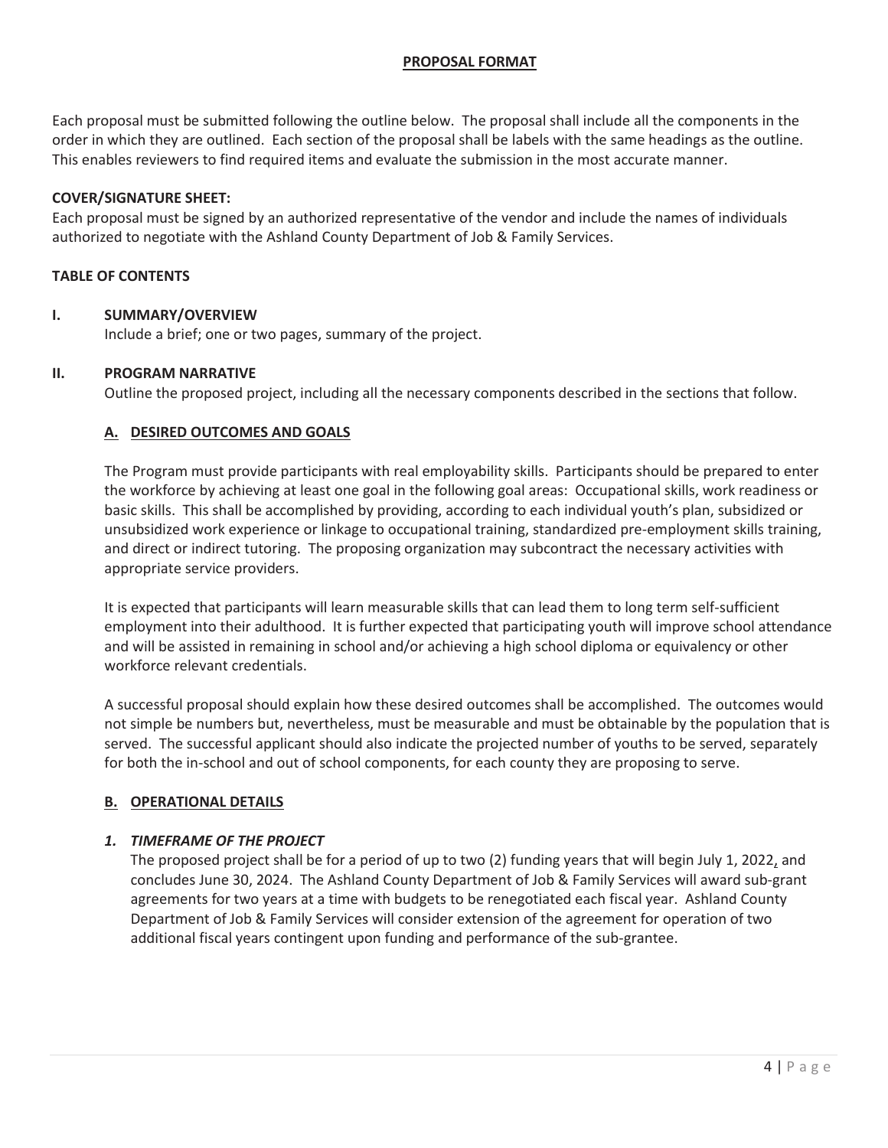## **PROPOSAL FORMAT**

Each proposal must be submitted following the outline below. The proposal shall include all the components in the order in which they are outlined. Each section of the proposal shall be labels with the same headings as the outline. This enables reviewers to find required items and evaluate the submission in the most accurate manner.

### **COVER/SIGNATURE SHEET:**

Each proposal must be signed by an authorized representative of the vendor and include the names of individuals authorized to negotiate with the Ashland County Department of Job & Family Services.

## **TABLE OF CONTENTS**

### **I. SUMMARY/OVERVIEW**

Include a brief; one or two pages, summary of the project.

#### **II. PROGRAM NARRATIVE**

Outline the proposed project, including all the necessary components described in the sections that follow.

### **A. DESIRED OUTCOMES AND GOALS**

The Program must provide participants with real employability skills. Participants should be prepared to enter the workforce by achieving at least one goal in the following goal areas: Occupational skills, work readiness or basic skills. This shall be accomplished by providing, according to each individual youth's plan, subsidized or unsubsidized work experience or linkage to occupational training, standardized pre-employment skills training, and direct or indirect tutoring. The proposing organization may subcontract the necessary activities with appropriate service providers.

It is expected that participants will learn measurable skills that can lead them to long term self-sufficient employment into their adulthood. It is further expected that participating youth will improve school attendance and will be assisted in remaining in school and/or achieving a high school diploma or equivalency or other workforce relevant credentials.

A successful proposal should explain how these desired outcomes shall be accomplished. The outcomes would not simple be numbers but, nevertheless, must be measurable and must be obtainable by the population that is served. The successful applicant should also indicate the projected number of youths to be served, separately for both the in-school and out of school components, for each county they are proposing to serve.

### **B. OPERATIONAL DETAILS**

### *1. TIMEFRAME OF THE PROJECT*

The proposed project shall be for a period of up to two (2) funding years that will begin July 1, 2022, and concludes June 30, 2024. The Ashland County Department of Job & Family Services will award sub-grant agreements for two years at a time with budgets to be renegotiated each fiscal year. Ashland County Department of Job & Family Services will consider extension of the agreement for operation of two additional fiscal years contingent upon funding and performance of the sub-grantee.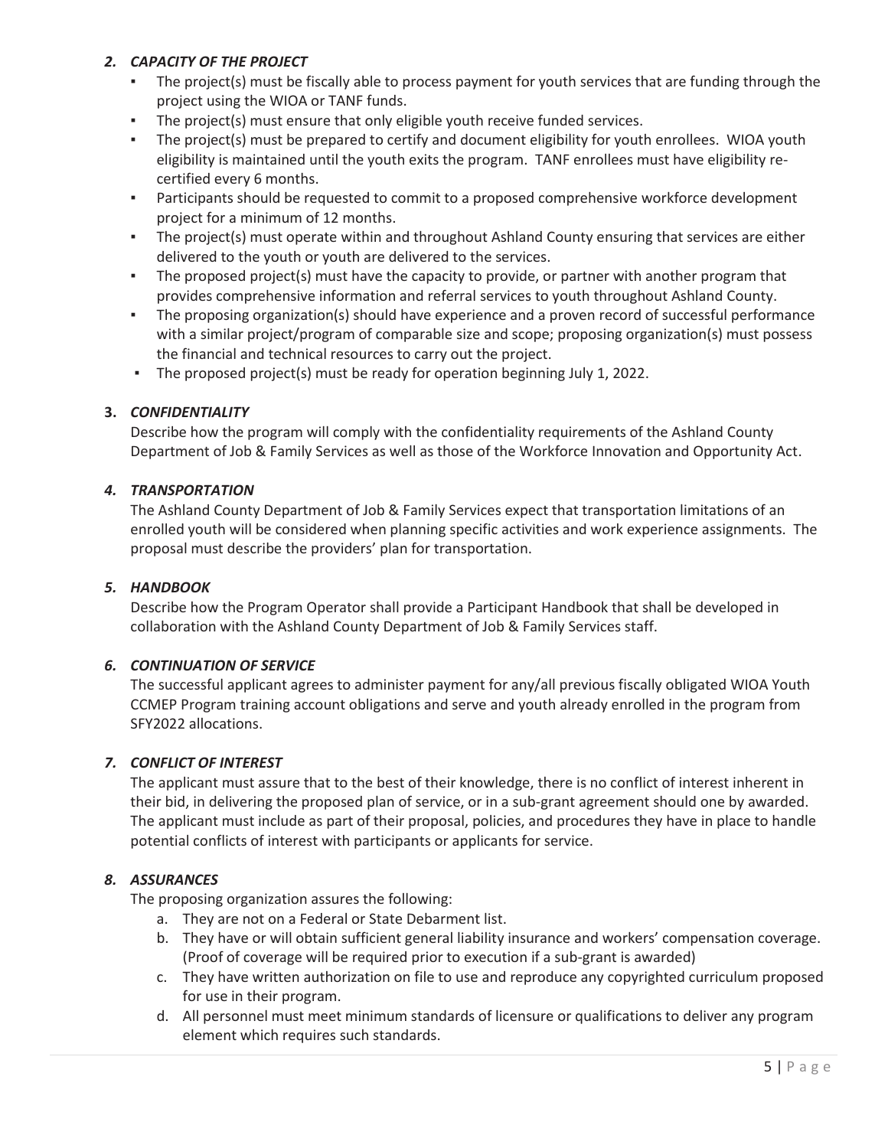# *2. CAPACITY OF THE PROJECT*

- The project(s) must be fiscally able to process payment for youth services that are funding through the project using the WIOA or TANF funds.
- The project(s) must ensure that only eligible youth receive funded services.
- The project(s) must be prepared to certify and document eligibility for youth enrollees. WIOA youth eligibility is maintained until the youth exits the program. TANF enrollees must have eligibility recertified every 6 months.
- **•** Participants should be requested to commit to a proposed comprehensive workforce development project for a minimum of 12 months.
- **•** The project(s) must operate within and throughout Ashland County ensuring that services are either delivered to the youth or youth are delivered to the services.
- The proposed project(s) must have the capacity to provide, or partner with another program that provides comprehensive information and referral services to youth throughout Ashland County.
- The proposing organization(s) should have experience and a proven record of successful performance with a similar project/program of comparable size and scope; proposing organization(s) must possess the financial and technical resources to carry out the project.
- The proposed project(s) must be ready for operation beginning July 1, 2022.

## **3.** *CONFIDENTIALITY*

Describe how the program will comply with the confidentiality requirements of the Ashland County Department of Job & Family Services as well as those of the Workforce Innovation and Opportunity Act.

## *4. TRANSPORTATION*

The Ashland County Department of Job & Family Services expect that transportation limitations of an enrolled youth will be considered when planning specific activities and work experience assignments. The proposal must describe the providers' plan for transportation.

### *5. HANDBOOK*

Describe how the Program Operator shall provide a Participant Handbook that shall be developed in collaboration with the Ashland County Department of Job & Family Services staff.

# *6. CONTINUATION OF SERVICE*

The successful applicant agrees to administer payment for any/all previous fiscally obligated WIOA Youth CCMEP Program training account obligations and serve and youth already enrolled in the program from SFY2022 allocations.

### *7. CONFLICT OF INTEREST*

The applicant must assure that to the best of their knowledge, there is no conflict of interest inherent in their bid, in delivering the proposed plan of service, or in a sub-grant agreement should one by awarded. The applicant must include as part of their proposal, policies, and procedures they have in place to handle potential conflicts of interest with participants or applicants for service.

# *8. ASSURANCES*

The proposing organization assures the following:

- a. They are not on a Federal or State Debarment list.
- b. They have or will obtain sufficient general liability insurance and workers' compensation coverage. (Proof of coverage will be required prior to execution if a sub-grant is awarded)
- c. They have written authorization on file to use and reproduce any copyrighted curriculum proposed for use in their program.
- d. All personnel must meet minimum standards of licensure or qualifications to deliver any program element which requires such standards.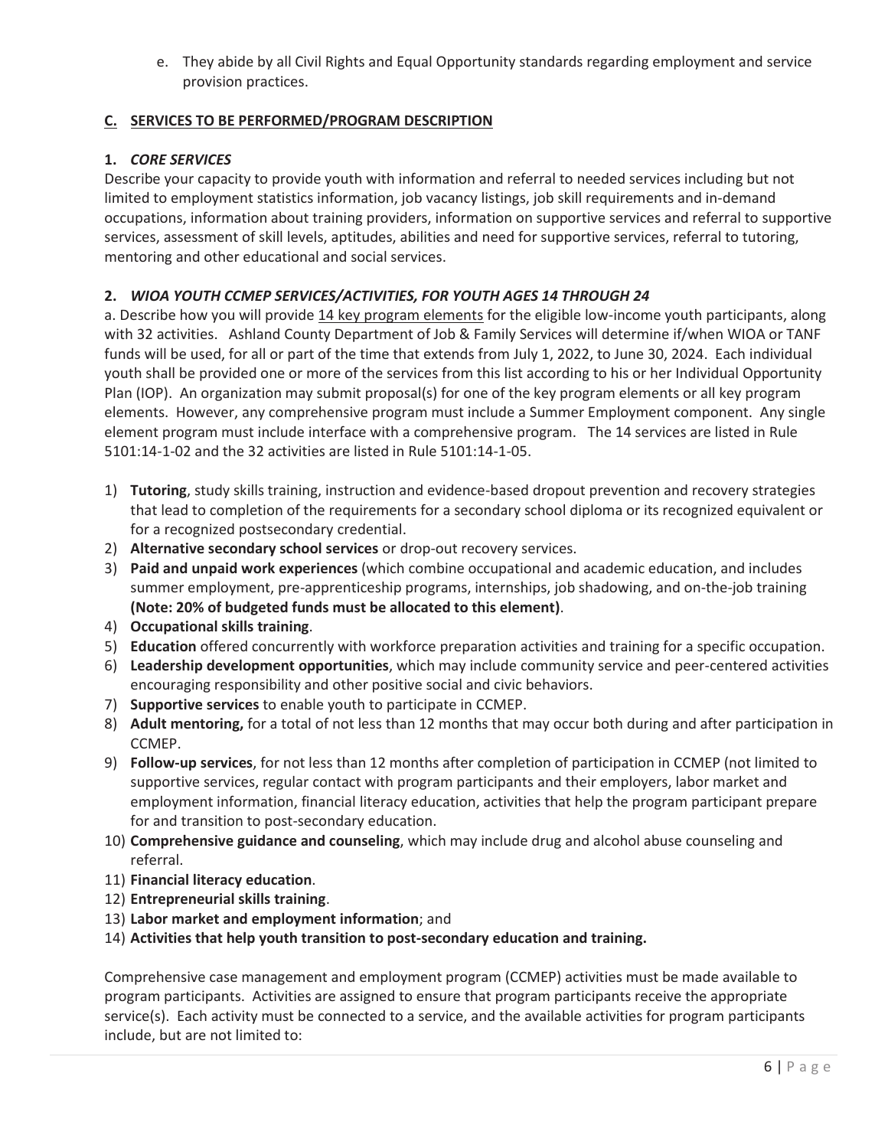e. They abide by all Civil Rights and Equal Opportunity standards regarding employment and service provision practices.

# **C. SERVICES TO BE PERFORMED/PROGRAM DESCRIPTION**

# **1.** *CORE SERVICES*

Describe your capacity to provide youth with information and referral to needed services including but not limited to employment statistics information, job vacancy listings, job skill requirements and in-demand occupations, information about training providers, information on supportive services and referral to supportive services, assessment of skill levels, aptitudes, abilities and need for supportive services, referral to tutoring, mentoring and other educational and social services.

# **2.** *WIOA YOUTH CCMEP SERVICES/ACTIVITIES, FOR YOUTH AGES 14 THROUGH 24*

a. Describe how you will provide 14 key program elements for the eligible low-income youth participants, along with 32 activities. Ashland County Department of Job & Family Services will determine if/when WIOA or TANF funds will be used, for all or part of the time that extends from July 1, 2022, to June 30, 2024. Each individual youth shall be provided one or more of the services from this list according to his or her Individual Opportunity Plan (IOP). An organization may submit proposal(s) for one of the key program elements or all key program elements. However, any comprehensive program must include a Summer Employment component. Any single element program must include interface with a comprehensive program. The 14 services are listed in Rule 5101:14-1-02 and the 32 activities are listed in Rule 5101:14-1-05.

- 1) **Tutoring**, study skills training, instruction and evidence-based dropout prevention and recovery strategies that lead to completion of the requirements for a secondary school diploma or its recognized equivalent or for a recognized postsecondary credential.
- 2) **Alternative secondary school services** or drop-out recovery services.
- 3) **Paid and unpaid work experiences** (which combine occupational and academic education, and includes summer employment, pre-apprenticeship programs, internships, job shadowing, and on-the-job training **(Note: 20% of budgeted funds must be allocated to this element)**.
- 4) **Occupational skills training**.
- 5) **Education** offered concurrently with workforce preparation activities and training for a specific occupation.
- 6) **Leadership development opportunities**, which may include community service and peer-centered activities encouraging responsibility and other positive social and civic behaviors.
- 7) **Supportive services** to enable youth to participate in CCMEP.
- 8) **Adult mentoring,** for a total of not less than 12 months that may occur both during and after participation in CCMEP.
- 9) **Follow-up services**, for not less than 12 months after completion of participation in CCMEP (not limited to supportive services, regular contact with program participants and their employers, labor market and employment information, financial literacy education, activities that help the program participant prepare for and transition to post-secondary education.
- 10) **Comprehensive guidance and counseling**, which may include drug and alcohol abuse counseling and referral.
- 11) **Financial literacy education**.
- 12) **Entrepreneurial skills training**.
- 13) **Labor market and employment information**; and
- 14) **Activities that help youth transition to post-secondary education and training.**

Comprehensive case management and employment program (CCMEP) activities must be made available to program participants. Activities are assigned to ensure that program participants receive the appropriate service(s). Each activity must be connected to a service, and the available activities for program participants include, but are not limited to: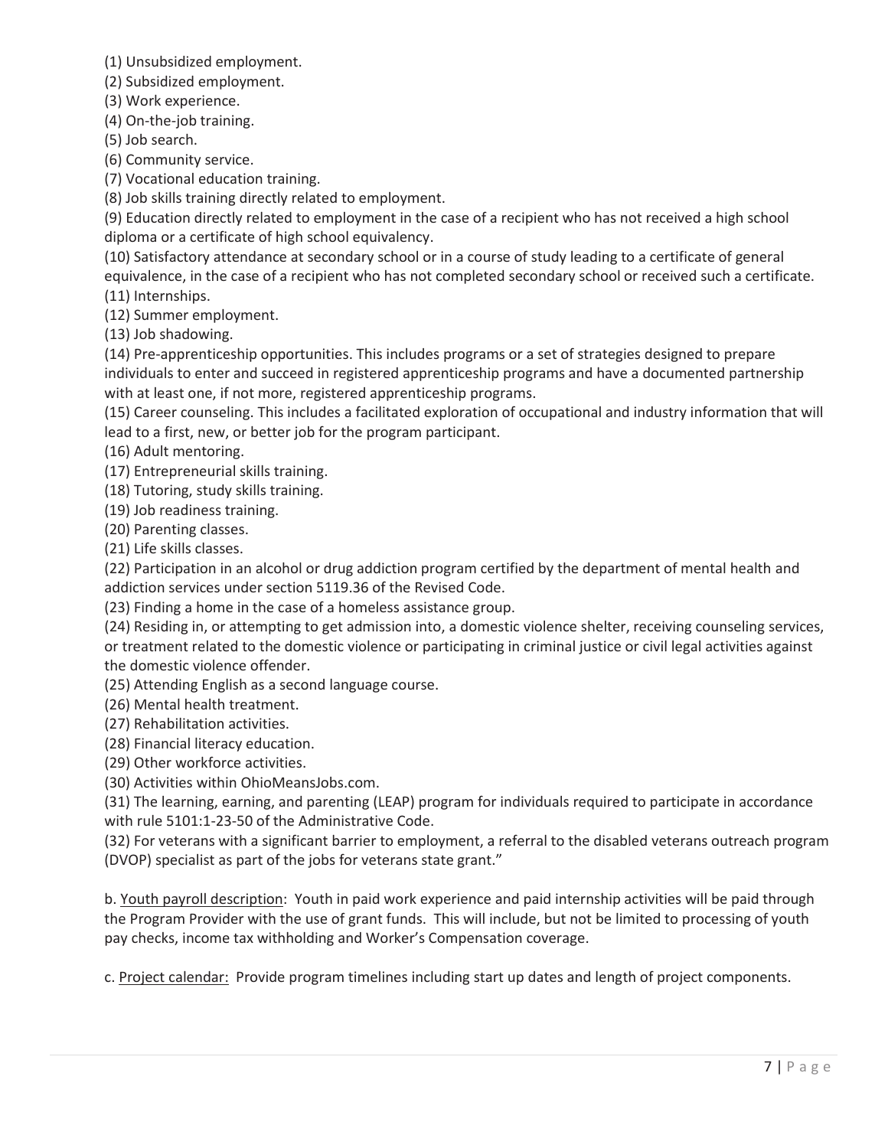(1) Unsubsidized employment.

(2) Subsidized employment.

(3) Work experience.

(4) On-the-job training.

(5) Job search.

(6) Community service.

(7) Vocational education training.

(8) Job skills training directly related to employment.

(9) Education directly related to employment in the case of a recipient who has not received a high school diploma or a certificate of high school equivalency.

(10) Satisfactory attendance at secondary school or in a course of study leading to a certificate of general equivalence, in the case of a recipient who has not completed secondary school or received such a certificate. (11) Internships.

(12) Summer employment.

(13) Job shadowing.

(14) Pre-apprenticeship opportunities. This includes programs or a set of strategies designed to prepare individuals to enter and succeed in registered apprenticeship programs and have a documented partnership with at least one, if not more, registered apprenticeship programs.

(15) Career counseling. This includes a facilitated exploration of occupational and industry information that will lead to a first, new, or better job for the program participant.

(16) Adult mentoring.

(17) Entrepreneurial skills training.

(18) Tutoring, study skills training.

(19) Job readiness training.

(20) Parenting classes.

(21) Life skills classes.

(22) Participation in an alcohol or drug addiction program certified by the department of mental health and addiction services under section 5119.36 of the Revised Code.

(23) Finding a home in the case of a homeless assistance group.

(24) Residing in, or attempting to get admission into, a domestic violence shelter, receiving counseling services, or treatment related to the domestic violence or participating in criminal justice or civil legal activities against the domestic violence offender.

(25) Attending English as a second language course.

(26) Mental health treatment.

(27) Rehabilitation activities.

(28) Financial literacy education.

(29) Other workforce activities.

(30) Activities within OhioMeansJobs.com.

(31) The learning, earning, and parenting (LEAP) program for individuals required to participate in accordance with rule 5101:1-23-50 of the Administrative Code.

(32) For veterans with a significant barrier to employment, a referral to the disabled veterans outreach program (DVOP) specialist as part of the jobs for veterans state grant."

b. Youth payroll description: Youth in paid work experience and paid internship activities will be paid through the Program Provider with the use of grant funds. This will include, but not be limited to processing of youth pay checks, income tax withholding and Worker's Compensation coverage.

c. Project calendar: Provide program timelines including start up dates and length of project components.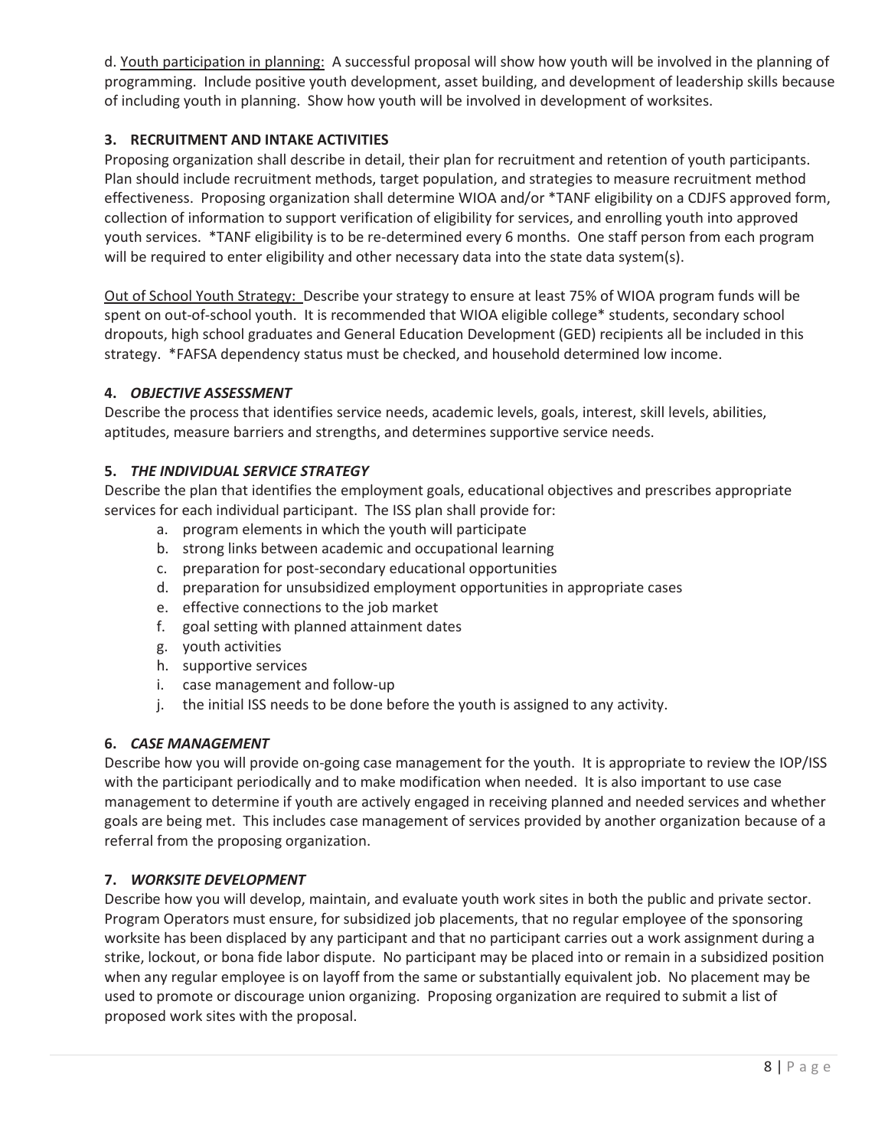d. Youth participation in planning: A successful proposal will show how youth will be involved in the planning of programming. Include positive youth development, asset building, and development of leadership skills because of including youth in planning. Show how youth will be involved in development of worksites.

# **3. RECRUITMENT AND INTAKE ACTIVITIES**

Proposing organization shall describe in detail, their plan for recruitment and retention of youth participants. Plan should include recruitment methods, target population, and strategies to measure recruitment method effectiveness. Proposing organization shall determine WIOA and/or \*TANF eligibility on a CDJFS approved form, collection of information to support verification of eligibility for services, and enrolling youth into approved youth services. \*TANF eligibility is to be re-determined every 6 months. One staff person from each program will be required to enter eligibility and other necessary data into the state data system(s).

Out of School Youth Strategy: Describe your strategy to ensure at least 75% of WIOA program funds will be spent on out-of-school youth. It is recommended that WIOA eligible college\* students, secondary school dropouts, high school graduates and General Education Development (GED) recipients all be included in this strategy. \*FAFSA dependency status must be checked, and household determined low income.

# **4.** *OBJECTIVE ASSESSMENT*

Describe the process that identifies service needs, academic levels, goals, interest, skill levels, abilities, aptitudes, measure barriers and strengths, and determines supportive service needs.

# **5.** *THE INDIVIDUAL SERVICE STRATEGY*

Describe the plan that identifies the employment goals, educational objectives and prescribes appropriate services for each individual participant. The ISS plan shall provide for:

- a. program elements in which the youth will participate
- b. strong links between academic and occupational learning
- c. preparation for post-secondary educational opportunities
- d. preparation for unsubsidized employment opportunities in appropriate cases
- e. effective connections to the job market
- f. goal setting with planned attainment dates
- g. youth activities
- h. supportive services
- i. case management and follow-up
- j. the initial ISS needs to be done before the youth is assigned to any activity.

# **6.** *CASE MANAGEMENT*

Describe how you will provide on-going case management for the youth. It is appropriate to review the IOP/ISS with the participant periodically and to make modification when needed. It is also important to use case management to determine if youth are actively engaged in receiving planned and needed services and whether goals are being met. This includes case management of services provided by another organization because of a referral from the proposing organization.

# **7.** *WORKSITE DEVELOPMENT*

Describe how you will develop, maintain, and evaluate youth work sites in both the public and private sector. Program Operators must ensure, for subsidized job placements, that no regular employee of the sponsoring worksite has been displaced by any participant and that no participant carries out a work assignment during a strike, lockout, or bona fide labor dispute. No participant may be placed into or remain in a subsidized position when any regular employee is on layoff from the same or substantially equivalent job. No placement may be used to promote or discourage union organizing. Proposing organization are required to submit a list of proposed work sites with the proposal.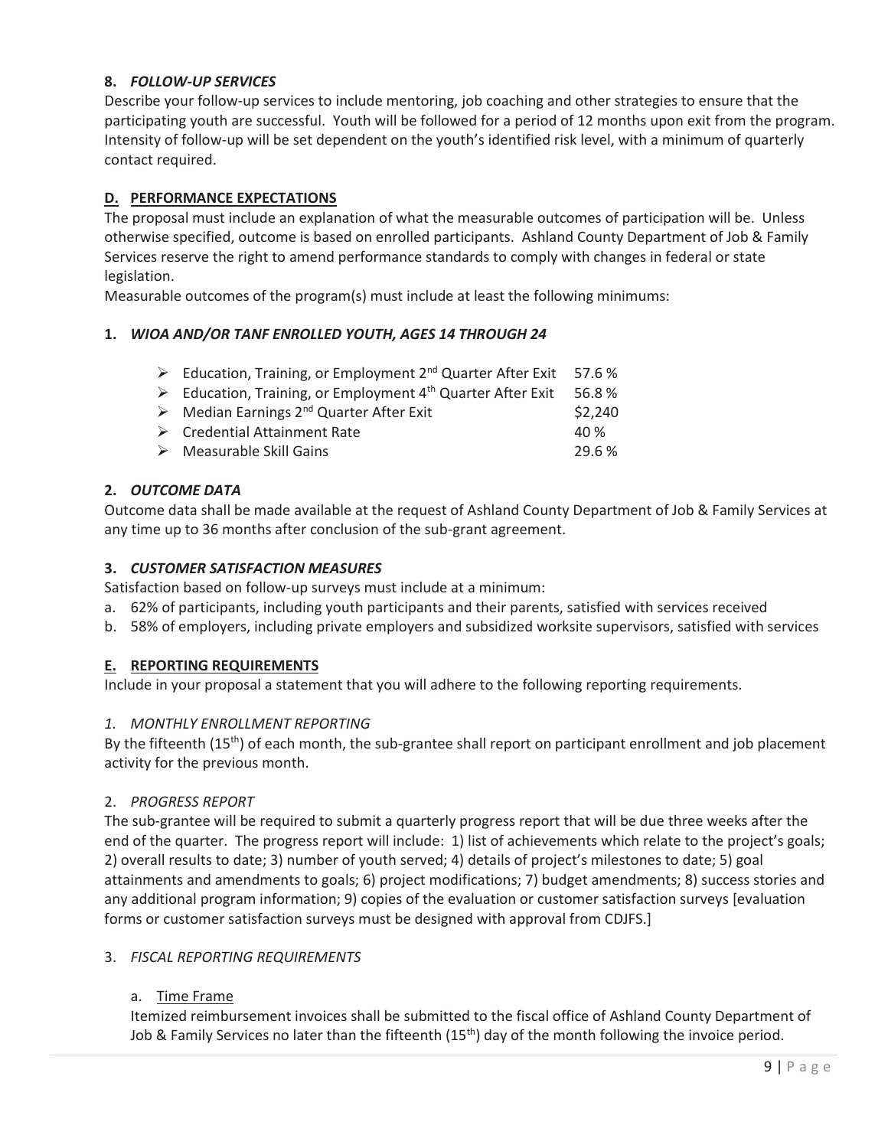## **8.** *FOLLOW-UP SERVICES*

Describe your follow-up services to include mentoring, job coaching and other strategies to ensure that the participating youth are successful. Youth will be followed for a period of 12 months upon exit from the program. Intensity of follow-up will be set dependent on the youth's identified risk level, with a minimum of quarterly contact required.

## **D. PERFORMANCE EXPECTATIONS**

The proposal must include an explanation of what the measurable outcomes of participation will be. Unless otherwise specified, outcome is based on enrolled participants. Ashland County Department of Job & Family Services reserve the right to amend performance standards to comply with changes in federal or state legislation.

Measurable outcomes of the program(s) must include at least the following minimums:

### **1.** *WIOA AND/OR TANF ENROLLED YOUTH, AGES 14 THROUGH 24*

|  | Education, Training, or Employment 2 <sup>nd</sup> Quarter After Exit 57.6 % |  |  |  |  |  |
|--|------------------------------------------------------------------------------|--|--|--|--|--|
|--|------------------------------------------------------------------------------|--|--|--|--|--|

- $\triangleright$  Median Earnings 2<sup>nd</sup> Quarter After Exit  $\zeta$  2,240
- ¾ Credential Attainment Rate 40 %
- ¾ Measurable Skill Gains 29.6 %

### **2.** *OUTCOME DATA*

Outcome data shall be made available at the request of Ashland County Department of Job & Family Services at any time up to 36 months after conclusion of the sub-grant agreement.

#### **3.** *CUSTOMER SATISFACTION MEASURES*

Satisfaction based on follow-up surveys must include at a minimum:

- a. 62% of participants, including youth participants and their parents, satisfied with services received
- b. 58% of employers, including private employers and subsidized worksite supervisors, satisfied with services

### **E. REPORTING REQUIREMENTS**

Include in your proposal a statement that you will adhere to the following reporting requirements.

### *1. MONTHLY ENROLLMENT REPORTING*

By the fifteenth  $(15<sup>th</sup>)$  of each month, the sub-grantee shall report on participant enrollment and job placement activity for the previous month.

### 2. *PROGRESS REPORT*

The sub-grantee will be required to submit a quarterly progress report that will be due three weeks after the end of the quarter. The progress report will include: 1) list of achievements which relate to the project's goals; 2) overall results to date; 3) number of youth served; 4) details of project's milestones to date; 5) goal attainments and amendments to goals; 6) project modifications; 7) budget amendments; 8) success stories and any additional program information; 9) copies of the evaluation or customer satisfaction surveys [evaluation forms or customer satisfaction surveys must be designed with approval from CDJFS.]

### 3. *FISCAL REPORTING REQUIREMENTS*

### a. Time Frame

Itemized reimbursement invoices shall be submitted to the fiscal office of Ashland County Department of Job & Family Services no later than the fifteenth  $(15<sup>th</sup>)$  day of the month following the invoice period.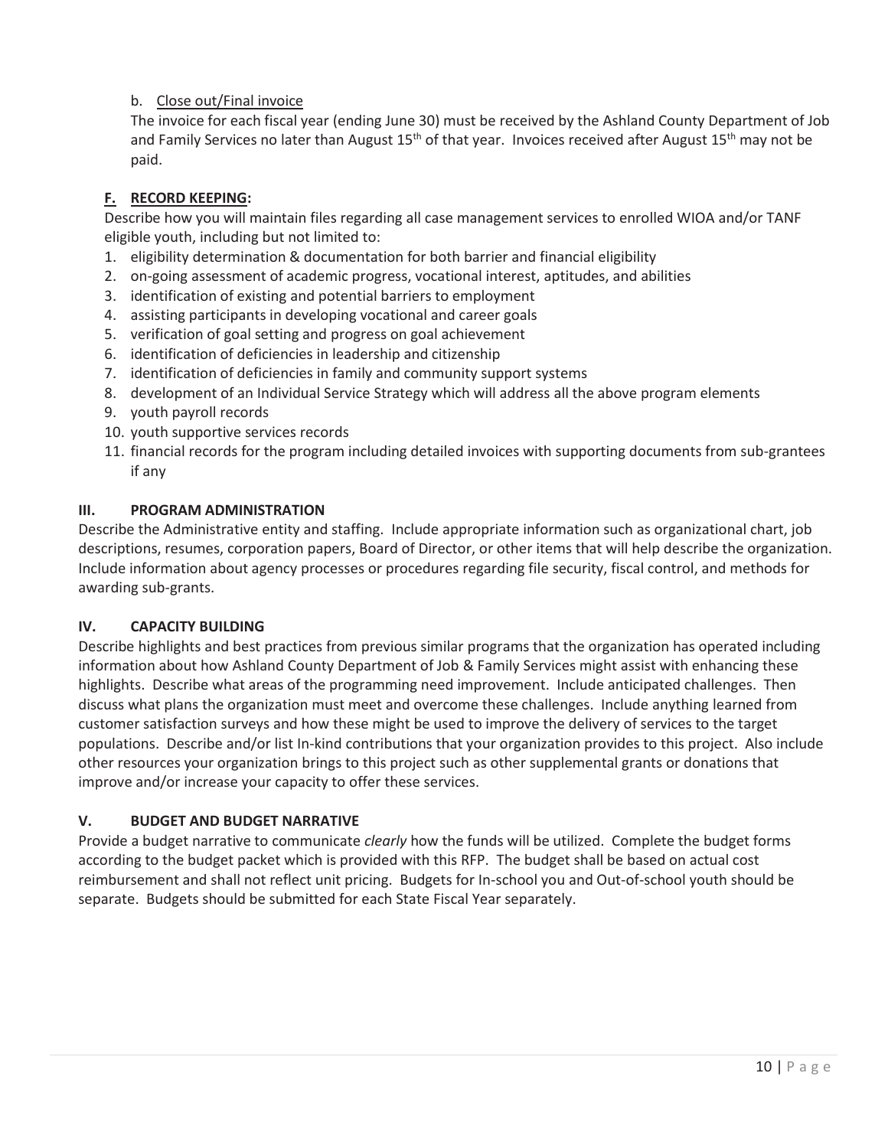# b. Close out/Final invoice

The invoice for each fiscal year (ending June 30) must be received by the Ashland County Department of Job and Family Services no later than August 15<sup>th</sup> of that year. Invoices received after August 15<sup>th</sup> may not be paid.

# **F. RECORD KEEPING:**

Describe how you will maintain files regarding all case management services to enrolled WIOA and/or TANF eligible youth, including but not limited to:

- 1. eligibility determination & documentation for both barrier and financial eligibility
- 2. on-going assessment of academic progress, vocational interest, aptitudes, and abilities
- 3. identification of existing and potential barriers to employment
- 4. assisting participants in developing vocational and career goals
- 5. verification of goal setting and progress on goal achievement
- 6. identification of deficiencies in leadership and citizenship
- 7. identification of deficiencies in family and community support systems
- 8. development of an Individual Service Strategy which will address all the above program elements
- 9. youth payroll records
- 10. youth supportive services records
- 11. financial records for the program including detailed invoices with supporting documents from sub-grantees if any

## **III. PROGRAM ADMINISTRATION**

Describe the Administrative entity and staffing. Include appropriate information such as organizational chart, job descriptions, resumes, corporation papers, Board of Director, or other items that will help describe the organization. Include information about agency processes or procedures regarding file security, fiscal control, and methods for awarding sub-grants.

# **IV. CAPACITY BUILDING**

Describe highlights and best practices from previous similar programs that the organization has operated including information about how Ashland County Department of Job & Family Services might assist with enhancing these highlights. Describe what areas of the programming need improvement. Include anticipated challenges. Then discuss what plans the organization must meet and overcome these challenges. Include anything learned from customer satisfaction surveys and how these might be used to improve the delivery of services to the target populations. Describe and/or list In-kind contributions that your organization provides to this project. Also include other resources your organization brings to this project such as other supplemental grants or donations that improve and/or increase your capacity to offer these services.

# **V. BUDGET AND BUDGET NARRATIVE**

Provide a budget narrative to communicate *clearly* how the funds will be utilized. Complete the budget forms according to the budget packet which is provided with this RFP. The budget shall be based on actual cost reimbursement and shall not reflect unit pricing. Budgets for In-school you and Out-of-school youth should be separate. Budgets should be submitted for each State Fiscal Year separately.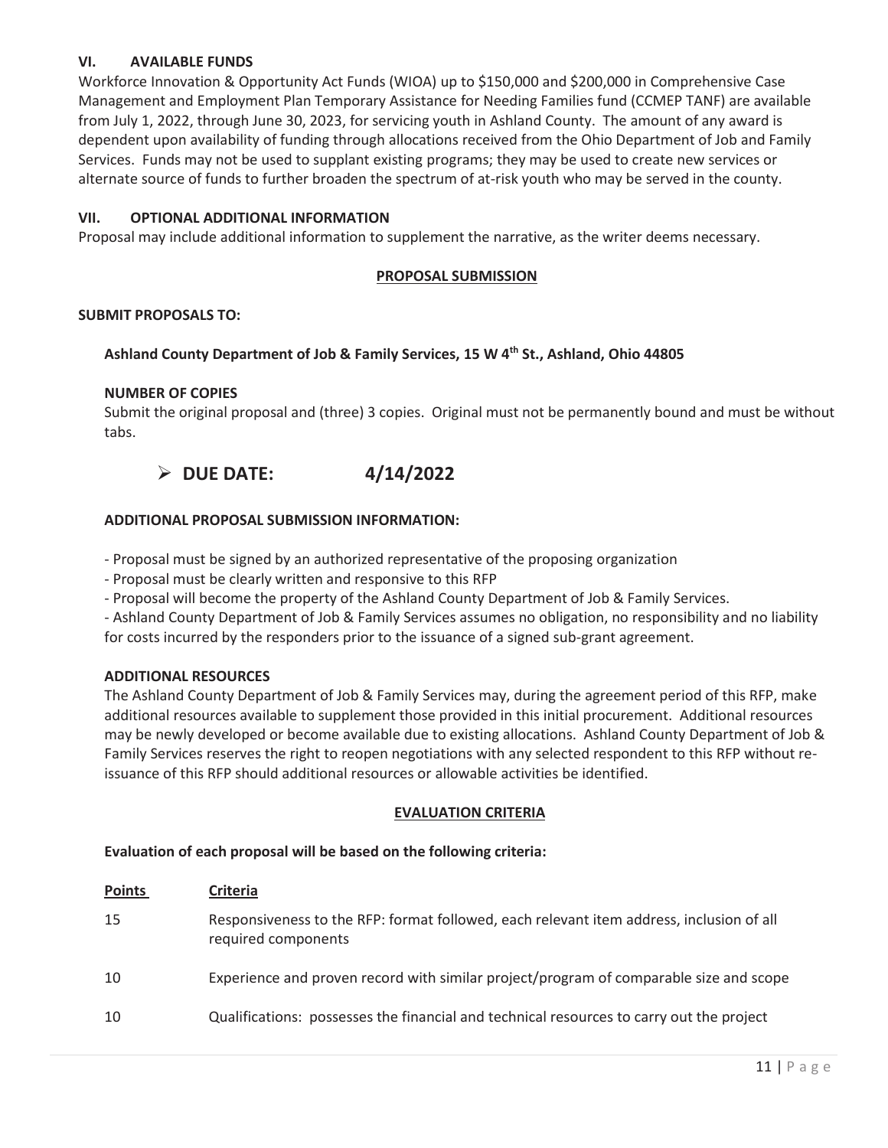# **VI. AVAILABLE FUNDS**

Workforce Innovation & Opportunity Act Funds (WIOA) up to \$150,000 and \$200,000 in Comprehensive Case Management and Employment Plan Temporary Assistance for Needing Families fund (CCMEP TANF) are available from July 1, 2022, through June 30, 2023, for servicing youth in Ashland County. The amount of any award is dependent upon availability of funding through allocations received from the Ohio Department of Job and Family Services. Funds may not be used to supplant existing programs; they may be used to create new services or alternate source of funds to further broaden the spectrum of at-risk youth who may be served in the county.

#### **VII. OPTIONAL ADDITIONAL INFORMATION**

Proposal may include additional information to supplement the narrative, as the writer deems necessary.

#### **PROPOSAL SUBMISSION**

#### **SUBMIT PROPOSALS TO:**

#### **Ashland County Department of Job & Family Services, 15 W 4th St., Ashland, Ohio 44805**

#### **NUMBER OF COPIES**

Submit the original proposal and (three) 3 copies. Original must not be permanently bound and must be without tabs.

# ¾ **DUE DATE: 4/14/2022**

#### **ADDITIONAL PROPOSAL SUBMISSION INFORMATION:**

- Proposal must be signed by an authorized representative of the proposing organization

- Proposal must be clearly written and responsive to this RFP

- Proposal will become the property of the Ashland County Department of Job & Family Services.

 - Ashland County Department of Job & Family Services assumes no obligation, no responsibility and no liability for costs incurred by the responders prior to the issuance of a signed sub-grant agreement.

#### **ADDITIONAL RESOURCES**

The Ashland County Department of Job & Family Services may, during the agreement period of this RFP, make additional resources available to supplement those provided in this initial procurement. Additional resources may be newly developed or become available due to existing allocations. Ashland County Department of Job & Family Services reserves the right to reopen negotiations with any selected respondent to this RFP without reissuance of this RFP should additional resources or allowable activities be identified.

### **EVALUATION CRITERIA**

#### **Evaluation of each proposal will be based on the following criteria:**

| <b>Points</b> | <b>Criteria</b>                                                                                                 |
|---------------|-----------------------------------------------------------------------------------------------------------------|
| 15            | Responsiveness to the RFP: format followed, each relevant item address, inclusion of all<br>required components |
| 10            | Experience and proven record with similar project/program of comparable size and scope                          |
| 10            | Qualifications: possesses the financial and technical resources to carry out the project                        |